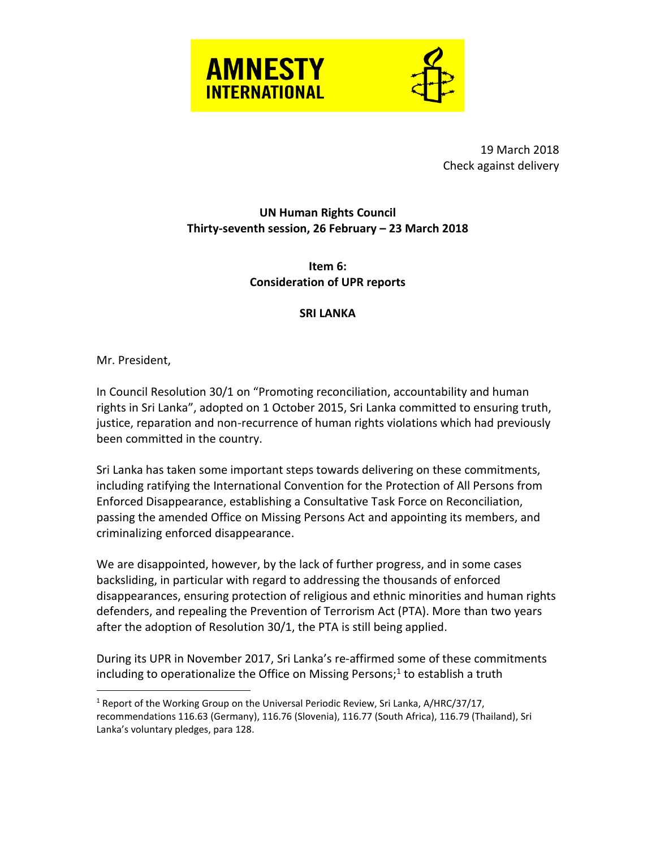



19 March 2018 Check against delivery

## **UN Human Rights Council Thirty-seventh session, 26 February – 23 March 2018**

**Item 6: Consideration of UPR reports**

## **SRI LANKA**

Mr. President,

 $\overline{a}$ 

In Council Resolution 30/1 on "Promoting reconciliation, accountability and human rights in Sri Lanka", adopted on 1 October 2015, Sri Lanka committed to ensuring truth, justice, reparation and non-recurrence of human rights violations which had previously been committed in the country.

Sri Lanka has taken some important steps towards delivering on these commitments, including ratifying the International Convention for the Protection of All Persons from Enforced Disappearance, establishing a Consultative Task Force on Reconciliation, passing the amended Office on Missing Persons Act and appointing its members, and criminalizing enforced disappearance.

We are disappointed, however, by the lack of further progress, and in some cases backsliding, in particular with regard to addressing the thousands of enforced disappearances, ensuring protection of religious and ethnic minorities and human rights defenders, and repealing the Prevention of Terrorism Act (PTA). More than two years after the adoption of Resolution 30/1, the PTA is still being applied.

During its UPR in November 2017, Sri Lanka's re-affirmed some of these commitments including to operationalize the Office on Missing Persons;<sup>1</sup> to establish a truth

<sup>&</sup>lt;sup>1</sup> Report of the Working Group on the Universal Periodic Review, Sri Lanka, A/HRC/37/17, recommendations 116.63 (Germany), 116.76 (Slovenia), 116.77 (South Africa), 116.79 (Thailand), Sri Lanka's voluntary pledges, para 128.